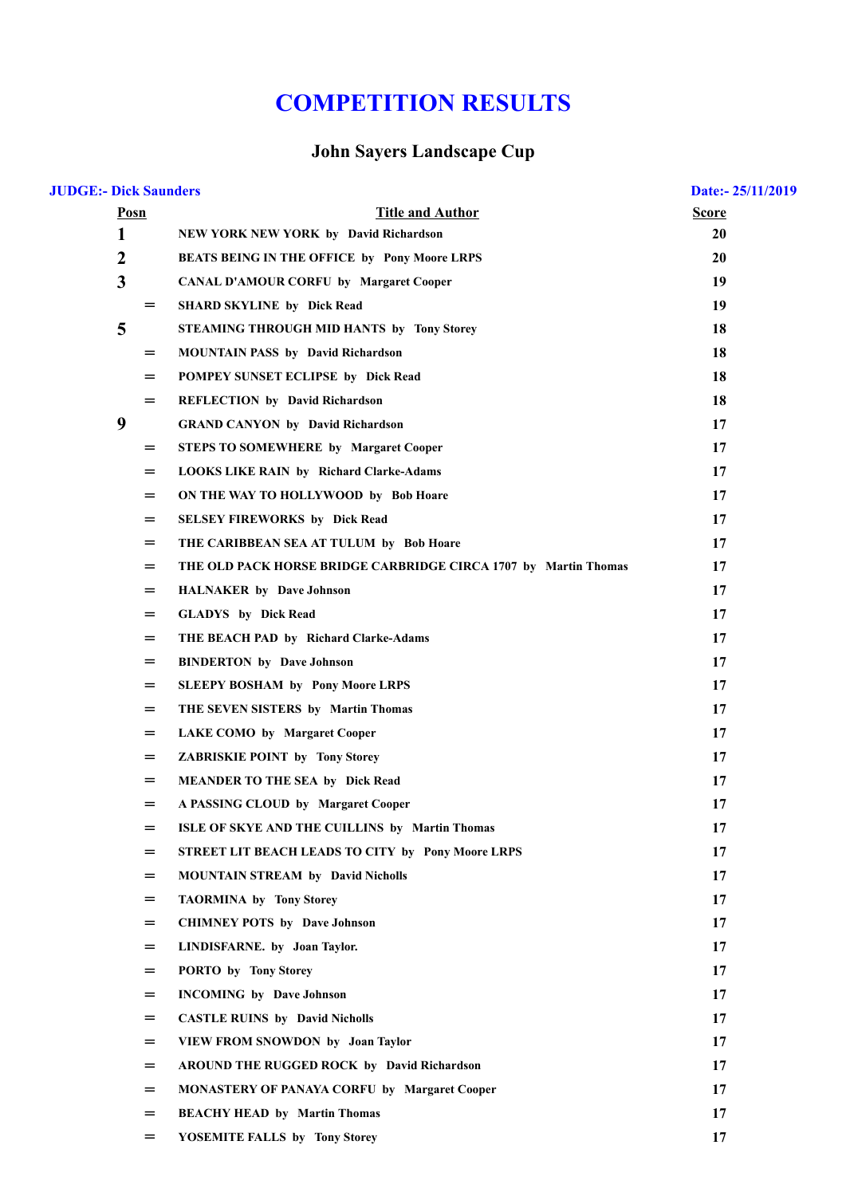## **COMPETITION RESULTS**

## **John Sayers Landscape Cup**

| <b>JUDGE:- Dick Saunders</b> |                         |                                                                 | Date:- 25/11/2019 |
|------------------------------|-------------------------|-----------------------------------------------------------------|-------------------|
|                              | Posn                    | <b>Title and Author</b>                                         | <b>Score</b>      |
|                              | 1                       | <b>NEW YORK NEW YORK by David Richardson</b>                    | 20                |
|                              | $\boldsymbol{2}$        | <b>BEATS BEING IN THE OFFICE by Pony Moore LRPS</b>             | 20                |
|                              | $\overline{\mathbf{3}}$ | <b>CANAL D'AMOUR CORFU by Margaret Cooper</b>                   | 19                |
|                              | $=$                     | <b>SHARD SKYLINE by Dick Read</b>                               | 19                |
|                              | 5                       | STEAMING THROUGH MID HANTS by Tony Storey                       | 18                |
|                              | $=$                     | <b>MOUNTAIN PASS by David Richardson</b>                        | 18                |
|                              | $=$                     | POMPEY SUNSET ECLIPSE by Dick Read                              | 18                |
|                              | $=$                     | <b>REFLECTION by David Richardson</b>                           | 18                |
|                              | 9                       | <b>GRAND CANYON by David Richardson</b>                         | 17                |
|                              | $=$                     | <b>STEPS TO SOMEWHERE by Margaret Cooper</b>                    | 17                |
|                              | $=$                     | <b>LOOKS LIKE RAIN by Richard Clarke-Adams</b>                  | 17                |
|                              | $=$                     | ON THE WAY TO HOLLYWOOD by Bob Hoare                            | 17                |
|                              | $=$                     | <b>SELSEY FIREWORKS</b> by Dick Read                            | 17                |
|                              | $=$                     | THE CARIBBEAN SEA AT TULUM by Bob Hoare                         | 17                |
|                              | $=$                     | THE OLD PACK HORSE BRIDGE CARBRIDGE CIRCA 1707 by Martin Thomas | 17                |
|                              | $=$                     | <b>HALNAKER</b> by Dave Johnson                                 | 17                |
|                              | $=$                     | <b>GLADYS</b> by Dick Read                                      | 17                |
|                              | $=$                     | THE BEACH PAD by Richard Clarke-Adams                           | 17                |
|                              | $=$                     | <b>BINDERTON</b> by Dave Johnson                                | 17                |
|                              | $=$                     | <b>SLEEPY BOSHAM by Pony Moore LRPS</b>                         | 17                |
|                              | $=$                     | THE SEVEN SISTERS by Martin Thomas                              | 17                |
|                              | $=$                     | <b>LAKE COMO by Margaret Cooper</b>                             | 17                |
|                              | $=$                     | <b>ZABRISKIE POINT by Tony Storey</b>                           | 17                |
|                              | $=$                     | <b>MEANDER TO THE SEA by Dick Read</b>                          | 17                |
|                              | $=$                     | A PASSING CLOUD by Margaret Cooper                              | 17                |
|                              | $=$                     | ISLE OF SKYE AND THE CUILLINS by Martin Thomas                  | 17                |
|                              | $=$                     | STREET LIT BEACH LEADS TO CITY by Pony Moore LRPS               | 17                |
|                              | $=$                     | <b>MOUNTAIN STREAM by David Nicholls</b>                        | 17                |
|                              | $=$                     | <b>TAORMINA by Tony Storey</b>                                  | 17                |
|                              | $=$                     | <b>CHIMNEY POTS</b> by Dave Johnson                             | 17                |
|                              | $=$                     | LINDISFARNE. by Joan Taylor.                                    | 17                |
|                              | $=$                     | PORTO by Tony Storey                                            | 17                |
|                              | $=$                     | <b>INCOMING</b> by Dave Johnson                                 | 17                |
|                              | $=$                     | <b>CASTLE RUINS by David Nicholls</b>                           | 17                |
|                              | $=$                     | VIEW FROM SNOWDON by Joan Taylor                                | 17                |
|                              | $=$                     | AROUND THE RUGGED ROCK by David Richardson                      | 17                |
|                              | $=$                     | <b>MONASTERY OF PANAYA CORFU by Margaret Cooper</b>             | 17                |
|                              | $=$                     | <b>BEACHY HEAD by Martin Thomas</b>                             | 17                |
|                              | $=$                     | YOSEMITE FALLS by Tony Storey                                   | 17                |